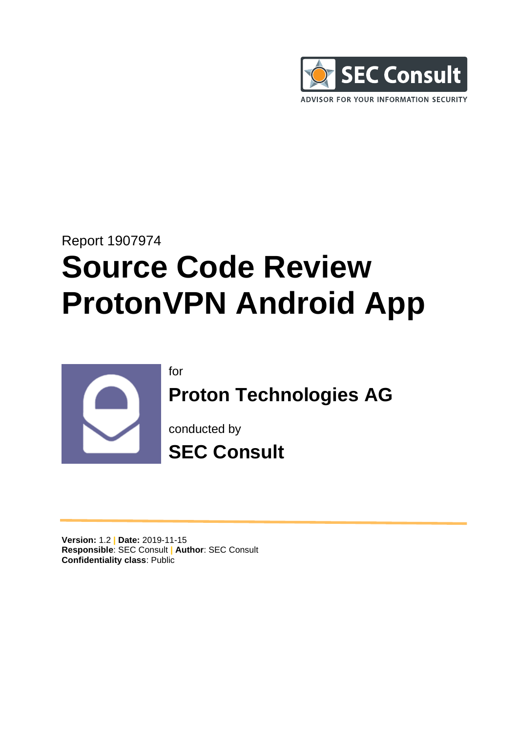

# Report 1907974 **Source Code Review ProtonVPN Android App**



for

**Proton Technologies AG**

conducted by



**Version:** 1.2 **| Date:** 2019-11-15 **Responsible**: SEC Consult **| Author**: SEC Consult **Confidentiality class**: Public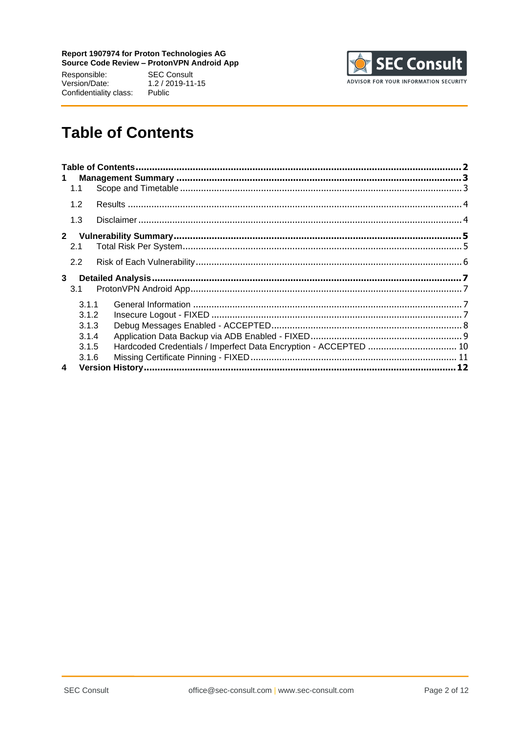Responsible: Version/Date: Confidentiality class:

**SEC Consult**  $1.2 / 2019 - 11 - 15$ Public



# <span id="page-1-0"></span>**Table of Contents**

| $\mathbf 1$ |       |                                                                  |  |
|-------------|-------|------------------------------------------------------------------|--|
|             | 1.1   |                                                                  |  |
|             | 1.2   |                                                                  |  |
|             | 1.3   |                                                                  |  |
| $2^{\circ}$ |       |                                                                  |  |
|             | 2.1   |                                                                  |  |
|             | 2.2   |                                                                  |  |
|             |       |                                                                  |  |
| 3           |       |                                                                  |  |
|             | 3.1   |                                                                  |  |
|             | 3.1.1 |                                                                  |  |
|             | 3.1.2 |                                                                  |  |
|             | 3.1.3 |                                                                  |  |
|             | 3.1.4 |                                                                  |  |
|             | 3.1.5 |                                                                  |  |
|             | 3.1.6 | Hardcoded Credentials / Imperfect Data Encryption - ACCEPTED  10 |  |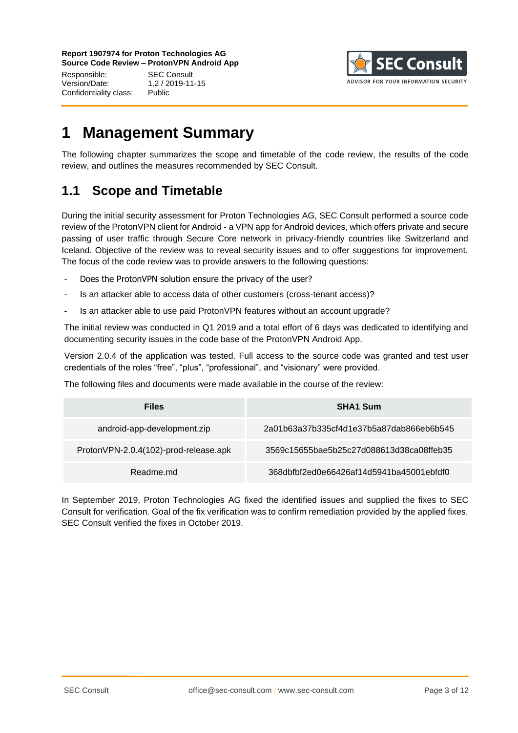Responsible: SEC Consult Version/Date: 1.2 / 2019-11-15 Confidentiality class: Public



# <span id="page-2-0"></span>**1 Management Summary**

The following chapter summarizes the scope and timetable of the code review, the results of the code review, and outlines the measures recommended by SEC Consult.

# <span id="page-2-1"></span>**1.1 Scope and Timetable**

During the initial security assessment for Proton Technologies AG, SEC Consult performed a source code review of the ProtonVPN client for Android - a VPN app for Android devices, which offers private and secure passing of user traffic through Secure Core network in privacy-friendly countries like Switzerland and Iceland. Objective of the review was to reveal security issues and to offer suggestions for improvement. The focus of the code review was to provide answers to the following questions:

- Does the ProtonVPN solution ensure the privacy of the user?
- Is an attacker able to access data of other customers (cross-tenant access)?
- Is an attacker able to use paid ProtonVPN features without an account upgrade?

The initial review was conducted in Q1 2019 and a total effort of 6 days was dedicated to identifying and documenting security issues in the code base of the ProtonVPN Android App.

Version 2.0.4 of the application was tested. Full access to the source code was granted and test user credentials of the roles "free", "plus", "professional", and "visionary" were provided.

The following files and documents were made available in the course of the review:

| <b>Files</b>                          | <b>SHA1 Sum</b>                          |
|---------------------------------------|------------------------------------------|
| android-app-development.zip           | 2a01b63a37b335cf4d1e37b5a87dab866eb6b545 |
| ProtonVPN-2.0.4(102)-prod-release.apk | 3569c15655bae5b25c27d088613d38ca08ffeb35 |
| Readme md                             | 368dbfbf2ed0e66426af14d5941ba45001ebfdf0 |

In September 2019, Proton Technologies AG fixed the identified issues and supplied the fixes to SEC Consult for verification. Goal of the fix verification was to confirm remediation provided by the applied fixes. SEC Consult verified the fixes in October 2019.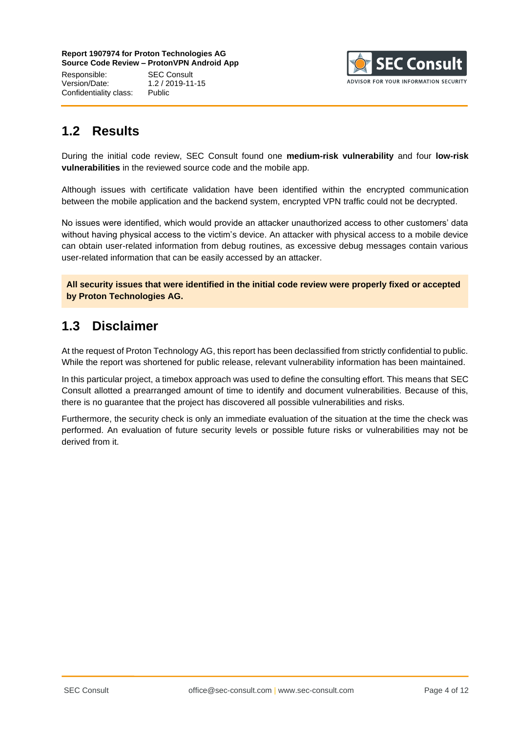Responsible: SEC Consult Version/Date: 1.2 / 2019-11-15 Confidentiality class: Public



# <span id="page-3-0"></span>**1.2 Results**

During the initial code review, SEC Consult found one **medium-risk vulnerability** and four **low-risk vulnerabilities** in the reviewed source code and the mobile app.

Although issues with certificate validation have been identified within the encrypted communication between the mobile application and the backend system, encrypted VPN traffic could not be decrypted.

No issues were identified, which would provide an attacker unauthorized access to other customers' data without having physical access to the victim's device. An attacker with physical access to a mobile device can obtain user-related information from debug routines, as excessive debug messages contain various user-related information that can be easily accessed by an attacker.

**All security issues that were identified in the initial code review were properly fixed or accepted by Proton Technologies AG.**

# <span id="page-3-1"></span>**1.3 Disclaimer**

At the request of Proton Technology AG, this report has been declassified from strictly confidential to public. While the report was shortened for public release, relevant vulnerability information has been maintained.

In this particular project, a timebox approach was used to define the consulting effort. This means that SEC Consult allotted a prearranged amount of time to identify and document vulnerabilities. Because of this, there is no guarantee that the project has discovered all possible vulnerabilities and risks.

Furthermore, the security check is only an immediate evaluation of the situation at the time the check was performed. An evaluation of future security levels or possible future risks or vulnerabilities may not be derived from it.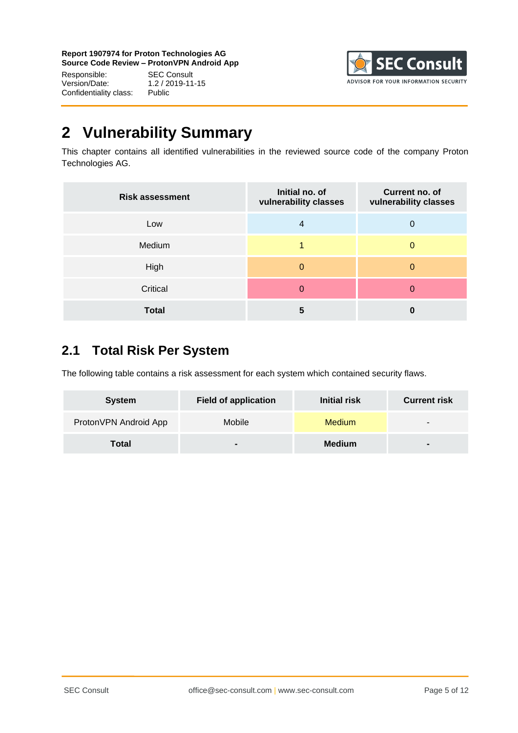Responsible: SEC Consult<br>Version/Date: 1.2 / 2019-11 Confidentiality class: Public

 $1.2 / 2019 - 11 - 15$ 



# <span id="page-4-0"></span>**2 Vulnerability Summary**

This chapter contains all identified vulnerabilities in the reviewed source code of the company Proton Technologies AG.

| <b>Risk assessment</b> | Initial no. of<br>vulnerability classes | Current no. of<br>vulnerability classes |
|------------------------|-----------------------------------------|-----------------------------------------|
| Low                    | 4                                       | 0                                       |
| Medium                 |                                         | $\Omega$                                |
| High                   | 0                                       | 0                                       |
| Critical               | 0                                       | 0                                       |
| <b>Total</b>           | 5                                       | 0                                       |

# <span id="page-4-1"></span>**2.1 Total Risk Per System**

The following table contains a risk assessment for each system which contained security flaws.

| <b>System</b>         | <b>Field of application</b> | <b>Initial risk</b> | <b>Current risk</b> |
|-----------------------|-----------------------------|---------------------|---------------------|
| ProtonVPN Android App | Mobile                      | <b>Medium</b>       | $\sim$              |
| Total                 |                             | <b>Medium</b>       | $\sim$              |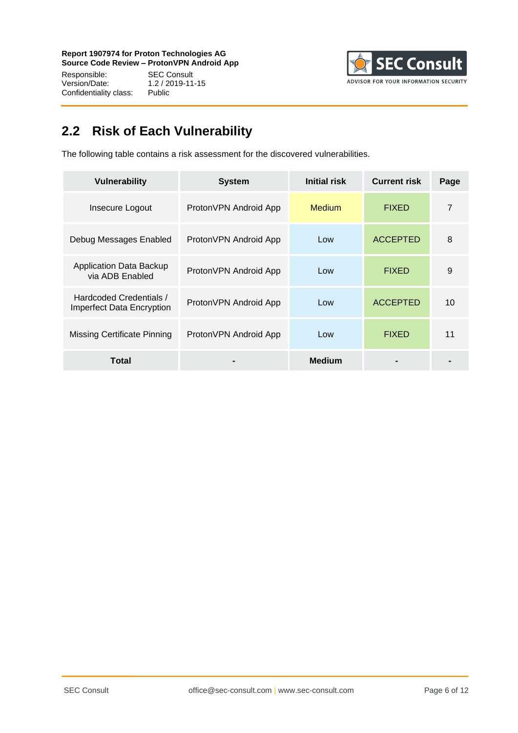Responsible: SEC Consult<br>Version/Date: 1.2 / 2019-11 Confidentiality class:

1.2 / 2019-11-15<br>Public



# <span id="page-5-0"></span>**2.2 Risk of Each Vulnerability**

The following table contains a risk assessment for the discovered vulnerabilities.

| <b>Vulnerability</b>                                        | <b>System</b>          | Initial risk  | <b>Current risk</b> | Page |
|-------------------------------------------------------------|------------------------|---------------|---------------------|------|
| Insecure Logout                                             | ProtonVPN Android App  | Medium        | <b>FIXED</b>        | 7    |
| Debug Messages Enabled                                      | Proton VPN Android App | Low           | <b>ACCEPTED</b>     | 8    |
| Application Data Backup<br>via ADB Enabled                  | ProtonVPN Android App  | Low           | <b>FIXED</b>        | 9    |
| Hardcoded Credentials /<br><b>Imperfect Data Encryption</b> | ProtonVPN Android App  | Low           | <b>ACCEPTED</b>     | 10   |
| Missing Certificate Pinning                                 | ProtonVPN Android App  | Low           | <b>FIXED</b>        | 11   |
| Total                                                       |                        | <b>Medium</b> |                     |      |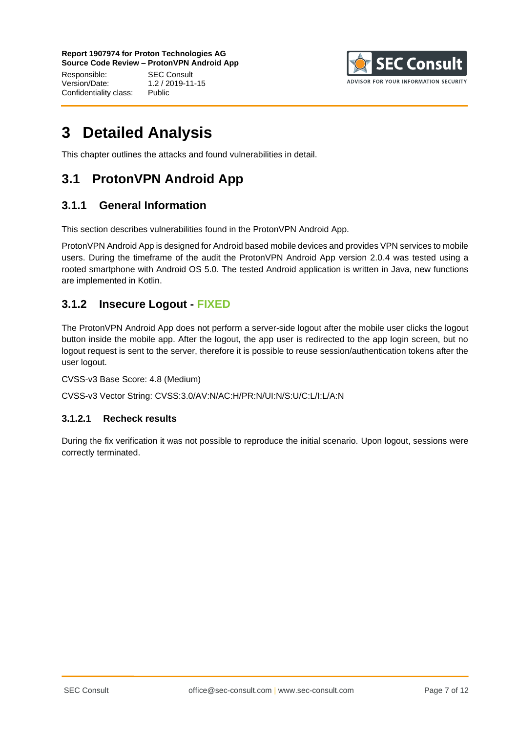Responsible: SEC Consult Version/Date: 1.2 / 2019-11-15 Confidentiality class: Public



# <span id="page-6-0"></span>**3 Detailed Analysis**

This chapter outlines the attacks and found vulnerabilities in detail.

# <span id="page-6-1"></span>**3.1 ProtonVPN Android App**

### <span id="page-6-2"></span>**3.1.1 General Information**

This section describes vulnerabilities found in the ProtonVPN Android App.

ProtonVPN Android App is designed for Android based mobile devices and provides VPN services to mobile users. During the timeframe of the audit the ProtonVPN Android App version 2.0.4 was tested using a rooted smartphone with Android OS 5.0. The tested Android application is written in Java, new functions are implemented in Kotlin.

#### <span id="page-6-3"></span>**3.1.2 Insecure Logout - FIXED**

The ProtonVPN Android App does not perform a server-side logout after the mobile user clicks the logout button inside the mobile app. After the logout, the app user is redirected to the app login screen, but no logout request is sent to the server, therefore it is possible to reuse session/authentication tokens after the user logout.

CVSS-v3 Base Score: 4.8 (Medium)

CVSS-v3 Vector String: CVSS:3.0/AV:N/AC:H/PR:N/UI:N/S:U/C:L/I:L/A:N

#### **3.1.2.1 Recheck results**

During the fix verification it was not possible to reproduce the initial scenario. Upon logout, sessions were correctly terminated.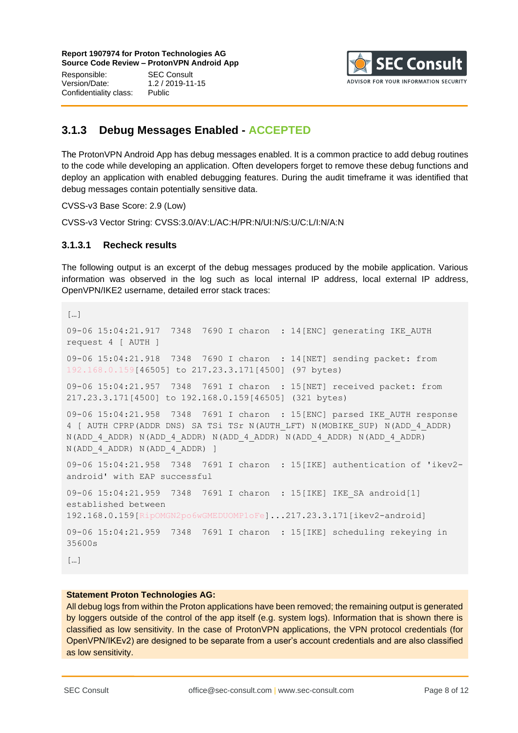Responsible: SEC Consult Version/Date: 1.2 / 2019-11-15 Confidentiality class: Public



### <span id="page-7-0"></span>**3.1.3 Debug Messages Enabled - ACCEPTED**

The ProtonVPN Android App has debug messages enabled. It is a common practice to add debug routines to the code while developing an application. Often developers forget to remove these debug functions and deploy an application with enabled debugging features. During the audit timeframe it was identified that debug messages contain potentially sensitive data.

CVSS-v3 Base Score: 2.9 (Low)

CVSS-v3 Vector String: CVSS:3.0/AV:L/AC:H/PR:N/UI:N/S:U/C:L/I:N/A:N

#### **3.1.3.1 Recheck results**

The following output is an excerpt of the debug messages produced by the mobile application. Various information was observed in the log such as local internal IP address, local external IP address, OpenVPN/IKE2 username, detailed error stack traces:

```
[…]
09-06 15:04:21.917 7348 7690 I charon : 14[ENC] generating IKE_AUTH 
request 4 [ AUTH ]
09-06 15:04:21.918 7348 7690 I charon : 14[NET] sending packet: from 
192.168.0.159[46505] to 217.23.3.171[4500] (97 bytes)
09-06 15:04:21.957 7348 7691 I charon : 15[NET] received packet: from 
217.23.3.171[4500] to 192.168.0.159[46505] (321 bytes)
09-06 15:04:21.958 7348 7691 I charon : 15[ENC] parsed IKE_AUTH response 
4 [ AUTH CPRP(ADDR DNS) SA TSi TSr N(AUTH_LFT) N(MOBIKE_SUP) N(ADD_4_ADDR) 
N(ADD_4_ADDR) N(ADD_4_ADDR) N(ADD_4_ADDR) N(ADD_4_ADDR) N(ADD_4_ADDR) 
N(ADD_4_ADDR) N(ADD_4_ADDR) ]
09-06 15:04:21.958 7348 7691 I charon : 15[IKE] authentication of 'ikev2-
android' with EAP successful
09-06 15:04:21.959 7348 7691 I charon : 15[IKE] IKE_SA android[1] 
established between 
192.168.0.159[RipOMGN2po6wGMEDUOMP1oFe]...217.23.3.171[ikev2-android]
09-06 15:04:21.959 7348 7691 I charon : 15[IKE] scheduling rekeying in 
35600s
\lceil \cdot \rceil
```
#### **Statement Proton Technologies AG:**

All debug logs from within the Proton applications have been removed; the remaining output is generated by loggers outside of the control of the app itself (e.g. system logs). Information that is shown there is classified as low sensitivity. In the case of ProtonVPN applications, the VPN protocol credentials (for OpenVPN/IKEv2) are designed to be separate from a user's account credentials and are also classified as low sensitivity.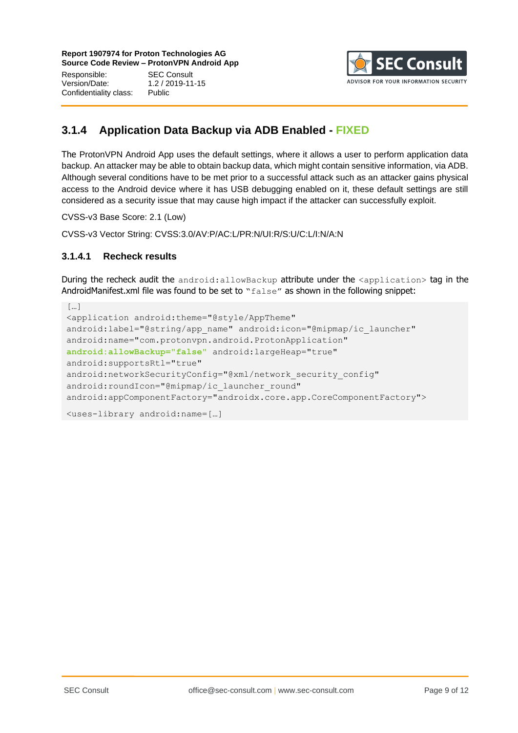Responsible: SEC Consult Version/Date: 1.2 / 2019-11-15 Confidentiality class: Public



### <span id="page-8-0"></span>**3.1.4 Application Data Backup via ADB Enabled - FIXED**

The ProtonVPN Android App uses the default settings, where it allows a user to perform application data backup. An attacker may be able to obtain backup data, which might contain sensitive information, via ADB. Although several conditions have to be met prior to a successful attack such as an attacker gains physical access to the Android device where it has USB debugging enabled on it, these default settings are still considered as a security issue that may cause high impact if the attacker can successfully exploit.

CVSS-v3 Base Score: 2.1 (Low)

CVSS-v3 Vector String: CVSS:3.0/AV:P/AC:L/PR:N/UI:R/S:U/C:L/I:N/A:N

#### **3.1.4.1 Recheck results**

During the recheck audit the android:allowBackup attribute under the <application> tag in the AndroidManifest.xml file was found to be set to "false" as shown in the following snippet:

```
[…]
<application android:theme="@style/AppTheme" 
android:label="@string/app_name" android:icon="@mipmap/ic_launcher"
android:name="com.protonvpn.android.ProtonApplication" 
android:allowBackup="false" android:largeHeap="true" 
android:supportsRtl="true" 
android:networkSecurityConfig="@xml/network security config"
android: roundIcon="@mipmap/ic_launcher_round"
android:appComponentFactory="androidx.core.app.CoreComponentFactory">
<uses-library android:name=[…]
```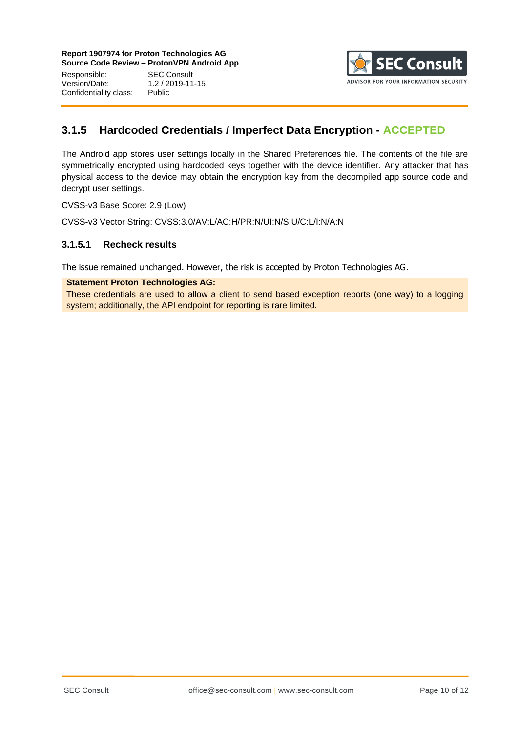Responsible: SEC Consult<br>Version/Date: 1.2 / 2019-11 Confidentiality class: Public

 $1.2 / 2019 - 11 - 15$ 



### <span id="page-9-0"></span>**3.1.5 Hardcoded Credentials / Imperfect Data Encryption - ACCEPTED**

The Android app stores user settings locally in the Shared Preferences file. The contents of the file are symmetrically encrypted using hardcoded keys together with the device identifier. Any attacker that has physical access to the device may obtain the encryption key from the decompiled app source code and decrypt user settings.

CVSS-v3 Base Score: 2.9 (Low)

CVSS-v3 Vector String: CVSS:3.0/AV:L/AC:H/PR:N/UI:N/S:U/C:L/I:N/A:N

#### **3.1.5.1 Recheck results**

The issue remained unchanged. However, the risk is accepted by Proton Technologies AG.

**Statement Proton Technologies AG:**

These credentials are used to allow a client to send based exception reports (one way) to a logging system; additionally, the API endpoint for reporting is rare limited.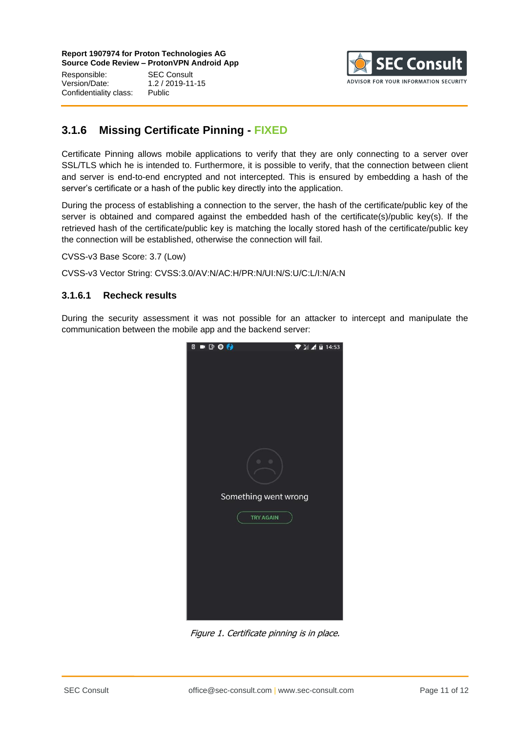Responsible: SEC Consult<br>Version/Date: 1.2 / 2019-11 Confidentiality class: Public

Version/Date: 1.2 / 2019-11-15



### <span id="page-10-0"></span>**3.1.6 Missing Certificate Pinning - FIXED**

Certificate Pinning allows mobile applications to verify that they are only connecting to a server over SSL/TLS which he is intended to. Furthermore, it is possible to verify, that the connection between client and server is end-to-end encrypted and not intercepted. This is ensured by embedding a hash of the server's certificate or a hash of the public key directly into the application.

During the process of establishing a connection to the server, the hash of the certificate/public key of the server is obtained and compared against the embedded hash of the certificate(s)/public key(s). If the retrieved hash of the certificate/public key is matching the locally stored hash of the certificate/public key the connection will be established, otherwise the connection will fail.

CVSS-v3 Base Score: 3.7 (Low)

CVSS-v3 Vector String: CVSS:3.0/AV:N/AC:H/PR:N/UI:N/S:U/C:L/I:N/A:N

#### **3.1.6.1 Recheck results**

During the security assessment it was not possible for an attacker to intercept and manipulate the communication between the mobile app and the backend server:



Figure 1. Certificate pinning is in place.